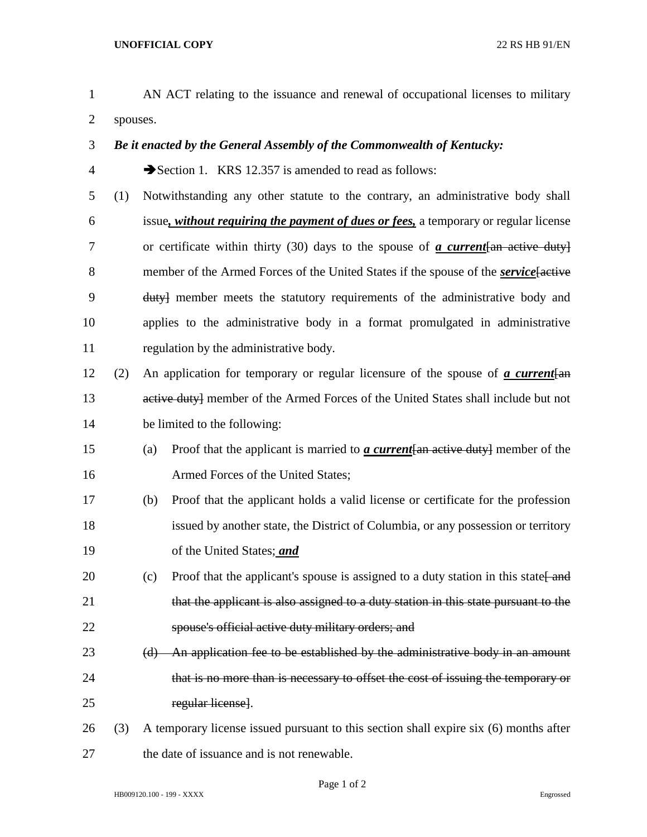- AN ACT relating to the issuance and renewal of occupational licenses to military spouses.
- *Be it enacted by the General Assembly of the Commonwealth of Kentucky:*
- Section 1. KRS 12.357 is amended to read as follows:
- (1) Notwithstanding any other statute to the contrary, an administrative body shall issue*, without requiring the payment of dues or fees,* a temporary or regular license or certificate within thirty (30) days to the spouse of *a current*[an active duty] 8 member of the Armed Forces of the United States if the spouse of the *service* factive duty] member meets the statutory requirements of the administrative body and applies to the administrative body in a format promulgated in administrative regulation by the administrative body.
- (2) An application for temporary or regular licensure of the spouse of *a current*[an 13 active duty] member of the Armed Forces of the United States shall include but not be limited to the following:
- (a) Proof that the applicant is married to *a current*[an active duty] member of the Armed Forces of the United States;
- (b) Proof that the applicant holds a valid license or certificate for the profession issued by another state, the District of Columbia, or any possession or territory of the United States; *and*
- 20 (c) Proof that the applicant's spouse is assigned to a duty station in this state  $\frac{1}{\text{and}}$ 21 that the applicant is also assigned to a duty station in this state pursuant to the spouse's official active duty military orders; and
- (d) An application fee to be established by the administrative body in an amount that is no more than is necessary to offset the cost of issuing the temporary or regular license].
- (3) A temporary license issued pursuant to this section shall expire six (6) months after the date of issuance and is not renewable.